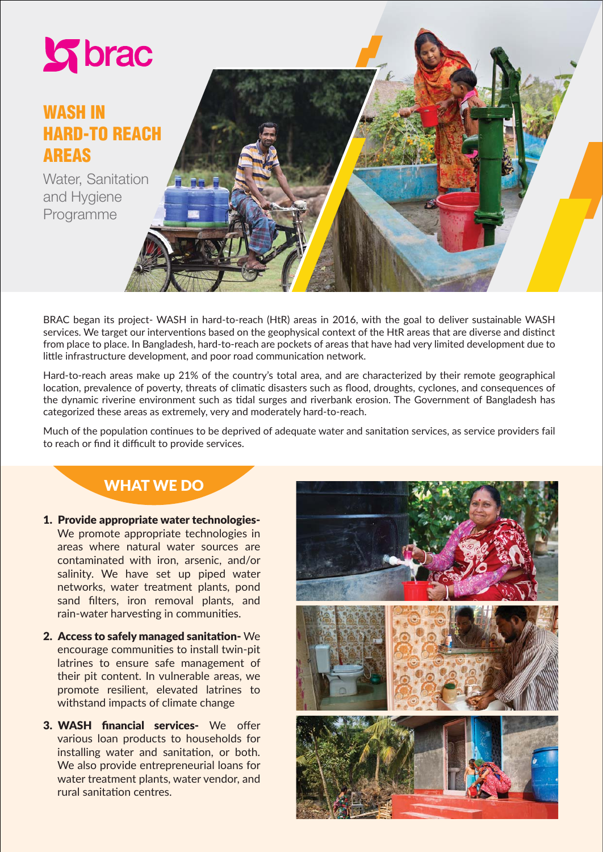

# WASH IN HARD-TO REACH AREAS

Water, Sanitation and Hygiene Programme



BRAC began its project- WASH in hard-to-reach (HtR) areas in 2016, with the goal to deliver sustainable WASH services. We target our interventions based on the geophysical context of the HtR areas that are diverse and distinct from place to place. In Bangladesh, hard-to-reach are pockets of areas that have had very limited development due to little infrastructure development, and poor road communication network.

Hard-to-reach areas make up 21% of the country's total area, and are characterized by their remote geographical location, prevalence of poverty, threats of climatic disasters such as flood, droughts, cyclones, and consequences of the dynamic riverine environment such as tidal surges and riverbank erosion. The Government of Bangladesh has categorized these areas as extremely, very and moderately hard-to-reach.

Much of the population continues to be deprived of adequate water and sanitation services, as service providers fail to reach or find it difficult to provide services.

### WHAT WE DO

- 1. Provide appropriate water technologies-We promote appropriate technologies in areas where natural water sources are contaminated with iron, arsenic, and/or salinity. We have set up piped water networks, water treatment plants, pond sand filters, iron removal plants, and rain-water harvesting in communities.
- 2. Access to safely managed sanitation- We encourage communiঞes to install twin-pit latrines to ensure safe management of their pit content. In vulnerable areas, we promote resilient, elevated latrines to withstand impacts of climate change
- 3. WASH financial services- We offer various loan products to households for installing water and sanitation, or both. We also provide entrepreneurial loans for water treatment plants, water vendor, and rural sanitation centres.